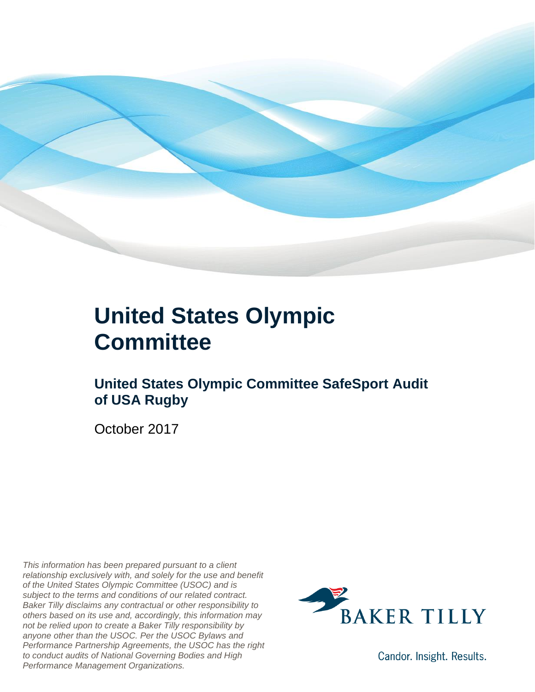

### **United States Olympic Committee**

#### **United States Olympic Committee SafeSport Audit of USA Rugby**

October 2017

*This information has been prepared pursuant to a client relationship exclusively with, and solely for the use and benefit of the United States Olympic Committee (USOC) and is subject to the terms and conditions of our related contract. Baker Tilly disclaims any contractual or other responsibility to others based on its use and, accordingly, this information may not be relied upon to create a Baker Tilly responsibility by anyone other than the USOC. Per the USOC Bylaws and Performance Partnership Agreements, the USOC has the right to conduct audits of National Governing Bodies and High Performance Management Organizations.*



Candor. Insight. Results.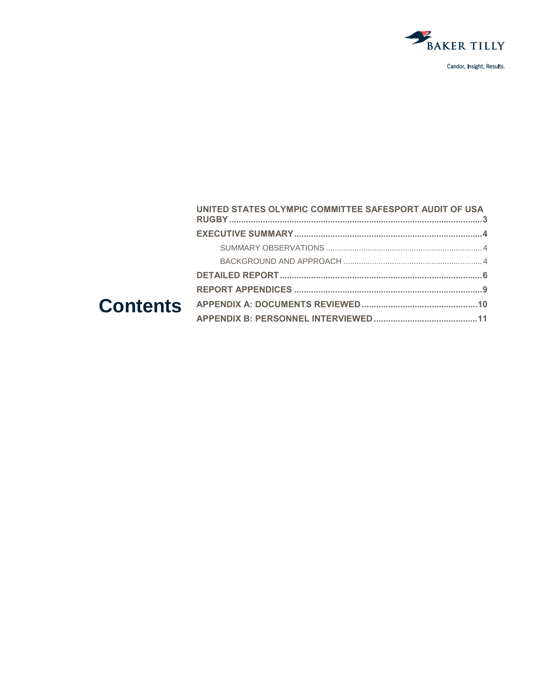

| UNITED STATES OLYMPIC COMMITTEE SAFESPORT AUDIT OF USA |  |
|--------------------------------------------------------|--|
|                                                        |  |
|                                                        |  |
|                                                        |  |
|                                                        |  |
|                                                        |  |
|                                                        |  |
|                                                        |  |
|                                                        |  |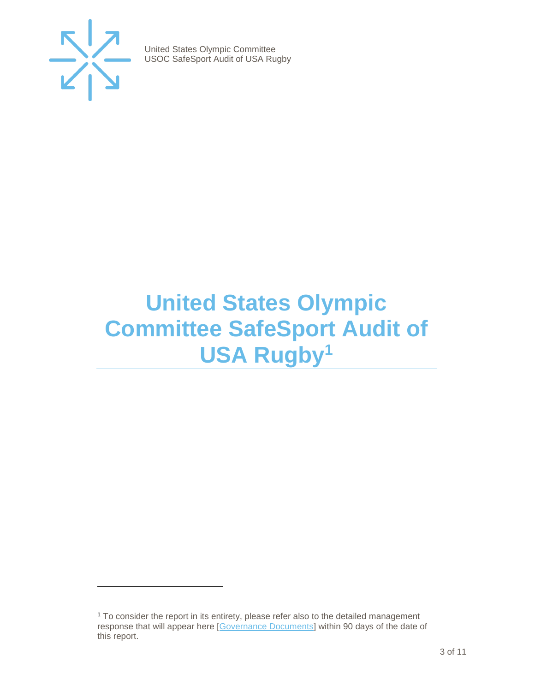

 $\overline{a}$ 

United States Olympic Committee USOC SafeSport Audit of USA Rugby

## <span id="page-2-0"></span>**United States Olympic Committee SafeSport Audit of USA Rugby<sup>1</sup>**

<sup>1</sup> To consider the report in its entirety, please refer also to the detailed management response that will appear here [\[Governance Documents\]](https://www.teamusa.org/Footer/Legal/Governance-Documents) within 90 days of the date of this report.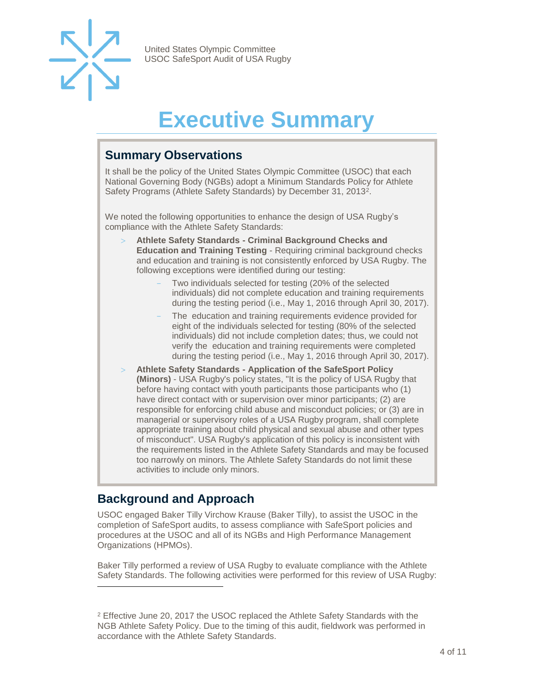

# **Executive Summary**

#### <span id="page-3-1"></span><span id="page-3-0"></span>**Summary Observations**

It shall be the policy of the United States Olympic Committee (USOC) that each National Governing Body (NGBs) adopt a Minimum Standards Policy for Athlete Safety Programs (Athlete Safety Standards) by December 31, 2013<sup>2</sup>.

We noted the following opportunities to enhance the design of USA Rugby's compliance with the Athlete Safety Standards:

- **Athlete Safety Standards - Criminal Background Checks and Education and Training Testing** - Requiring criminal background checks and education and training is not consistently enforced by USA Rugby. The following exceptions were identified during our testing:
	- Two individuals selected for testing (20% of the selected individuals) did not complete education and training requirements during the testing period (i.e., May 1, 2016 through April 30, 2017).
	- The education and training requirements evidence provided for eight of the individuals selected for testing (80% of the selected individuals) did not include completion dates; thus, we could not verify the education and training requirements were completed during the testing period (i.e., May 1, 2016 through April 30, 2017).
- **Athlete Safety Standards - Application of the SafeSport Policy (Minors)** - USA Rugby's policy states, "It is the policy of USA Rugby that before having contact with youth participants those participants who (1) have direct contact with or supervision over minor participants; (2) are responsible for enforcing child abuse and misconduct policies; or (3) are in managerial or supervisory roles of a USA Rugby program, shall complete appropriate training about child physical and sexual abuse and other types of misconduct". USA Rugby's application of this policy is inconsistent with the requirements listed in the Athlete Safety Standards and may be focused too narrowly on minors. The Athlete Safety Standards do not limit these activities to include only minors.

#### <span id="page-3-2"></span>**Background and Approach**

 $\overline{a}$ 

USOC engaged Baker Tilly Virchow Krause (Baker Tilly), to assist the USOC in the completion of SafeSport audits, to assess compliance with SafeSport policies and procedures at the USOC and all of its NGBs and High Performance Management Organizations (HPMOs).

Baker Tilly performed a review of USA Rugby to evaluate compliance with the Athlete Safety Standards. The following activities were performed for this review of USA Rugby:

<sup>&</sup>lt;sup>2</sup> Effective June 20, 2017 the USOC replaced the Athlete Safety Standards with the NGB Athlete Safety Policy. Due to the timing of this audit, fieldwork was performed in accordance with the Athlete Safety Standards.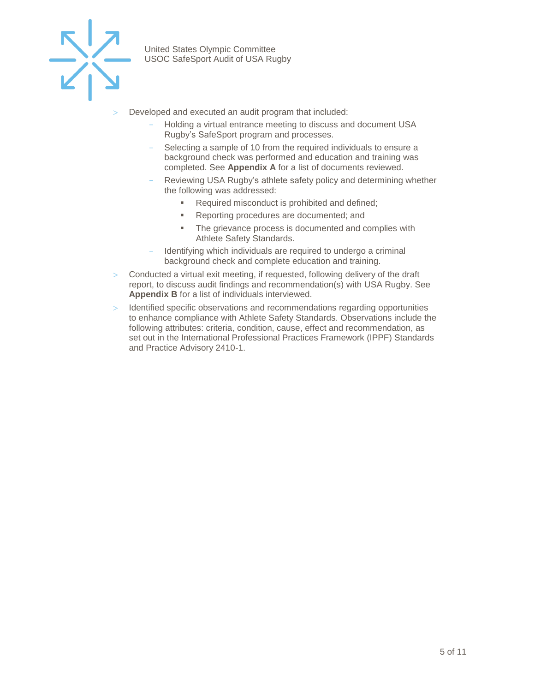

- Developed and executed an audit program that included:
	- Holding a virtual entrance meeting to discuss and document USA Rugby's SafeSport program and processes.
	- Selecting a sample of 10 from the required individuals to ensure a background check was performed and education and training was completed. See **Appendix A** for a list of documents reviewed.
	- Reviewing USA Rugby's athlete safety policy and determining whether the following was addressed:
		- Required misconduct is prohibited and defined;
		- Reporting procedures are documented; and
		- The grievance process is documented and complies with Athlete Safety Standards.
	- Identifying which individuals are required to undergo a criminal background check and complete education and training.
- Conducted a virtual exit meeting, if requested, following delivery of the draft report, to discuss audit findings and recommendation(s) with USA Rugby. See **Appendix B** for a list of individuals interviewed.
- $>$  Identified specific observations and recommendations regarding opportunities to enhance compliance with Athlete Safety Standards. Observations include the following attributes: criteria, condition, cause, effect and recommendation, as set out in the International Professional Practices Framework (IPPF) Standards and Practice Advisory 2410-1.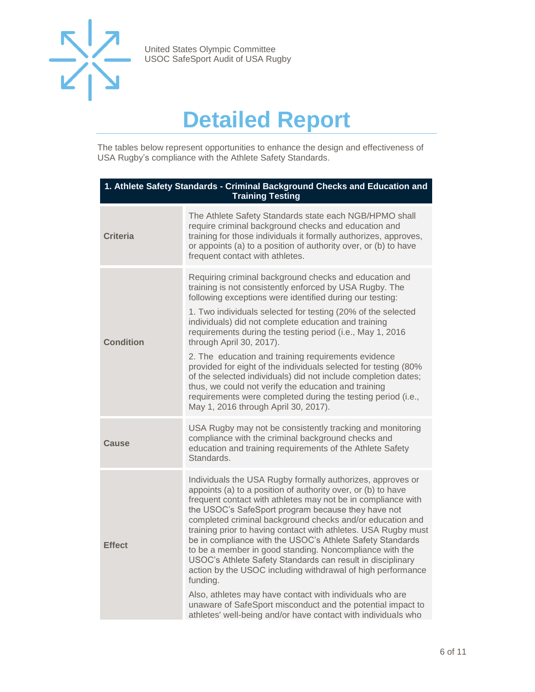

## **Detailed Report**

<span id="page-5-0"></span>The tables below represent opportunities to enhance the design and effectiveness of USA Rugby's compliance with the Athlete Safety Standards.

| 1. Athlete Safety Standards - Criminal Background Checks and Education and<br><b>Training Testing</b> |                                                                                                                                                                                                                                                                                                                                                                                                                                                                                                                                                                                                                                                                                                                                                                                                                                              |  |
|-------------------------------------------------------------------------------------------------------|----------------------------------------------------------------------------------------------------------------------------------------------------------------------------------------------------------------------------------------------------------------------------------------------------------------------------------------------------------------------------------------------------------------------------------------------------------------------------------------------------------------------------------------------------------------------------------------------------------------------------------------------------------------------------------------------------------------------------------------------------------------------------------------------------------------------------------------------|--|
| <b>Criteria</b>                                                                                       | The Athlete Safety Standards state each NGB/HPMO shall<br>require criminal background checks and education and<br>training for those individuals it formally authorizes, approves,<br>or appoints (a) to a position of authority over, or (b) to have<br>frequent contact with athletes.                                                                                                                                                                                                                                                                                                                                                                                                                                                                                                                                                     |  |
| <b>Condition</b>                                                                                      | Requiring criminal background checks and education and<br>training is not consistently enforced by USA Rugby. The<br>following exceptions were identified during our testing:<br>1. Two individuals selected for testing (20% of the selected<br>individuals) did not complete education and training<br>requirements during the testing period (i.e., May 1, 2016<br>through April 30, 2017).<br>2. The education and training requirements evidence<br>provided for eight of the individuals selected for testing (80%<br>of the selected individuals) did not include completion dates;<br>thus, we could not verify the education and training<br>requirements were completed during the testing period (i.e.,<br>May 1, 2016 through April 30, 2017).                                                                                   |  |
| Cause                                                                                                 | USA Rugby may not be consistently tracking and monitoring<br>compliance with the criminal background checks and<br>education and training requirements of the Athlete Safety<br>Standards.                                                                                                                                                                                                                                                                                                                                                                                                                                                                                                                                                                                                                                                   |  |
| <b>Effect</b>                                                                                         | Individuals the USA Rugby formally authorizes, approves or<br>appoints (a) to a position of authority over, or (b) to have<br>frequent contact with athletes may not be in compliance with<br>the USOC's SafeSport program because they have not<br>completed criminal background checks and/or education and<br>training prior to having contact with athletes. USA Rugby must<br>be in compliance with the USOC's Athlete Safety Standards<br>to be a member in good standing. Noncompliance with the<br>USOC's Athlete Safety Standards can result in disciplinary<br>action by the USOC including withdrawal of high performance<br>funding.<br>Also, athletes may have contact with individuals who are<br>unaware of SafeSport misconduct and the potential impact to<br>athletes' well-being and/or have contact with individuals who |  |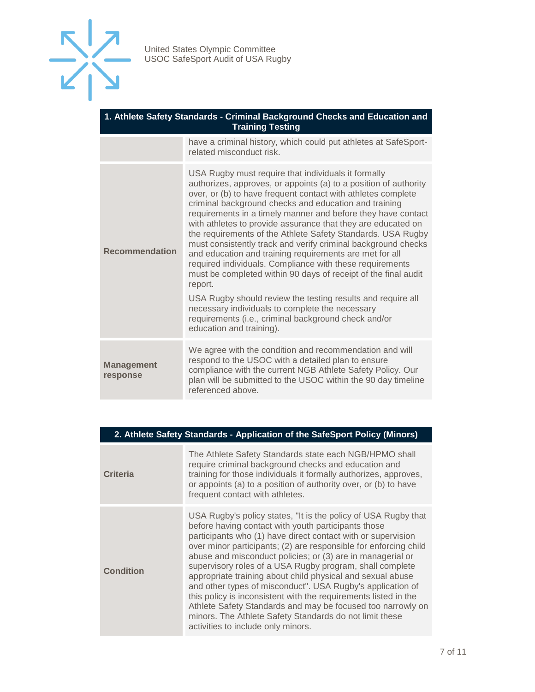

| 1. Athlete Safety Standards - Criminal Background Checks and Education and<br><b>Training Testing</b> |                                                                                                                                                                                                                                                                                                                                                                                                                                                                                                                                                                                                                                                                                                                                                                                                                                                                                                                            |  |
|-------------------------------------------------------------------------------------------------------|----------------------------------------------------------------------------------------------------------------------------------------------------------------------------------------------------------------------------------------------------------------------------------------------------------------------------------------------------------------------------------------------------------------------------------------------------------------------------------------------------------------------------------------------------------------------------------------------------------------------------------------------------------------------------------------------------------------------------------------------------------------------------------------------------------------------------------------------------------------------------------------------------------------------------|--|
|                                                                                                       | have a criminal history, which could put athletes at SafeSport-<br>related misconduct risk.                                                                                                                                                                                                                                                                                                                                                                                                                                                                                                                                                                                                                                                                                                                                                                                                                                |  |
| <b>Recommendation</b>                                                                                 | USA Rugby must require that individuals it formally<br>authorizes, approves, or appoints (a) to a position of authority<br>over, or (b) to have frequent contact with athletes complete<br>criminal background checks and education and training<br>requirements in a timely manner and before they have contact<br>with athletes to provide assurance that they are educated on<br>the requirements of the Athlete Safety Standards. USA Rugby<br>must consistently track and verify criminal background checks<br>and education and training requirements are met for all<br>required individuals. Compliance with these requirements<br>must be completed within 90 days of receipt of the final audit<br>report.<br>USA Rugby should review the testing results and require all<br>necessary individuals to complete the necessary<br>requirements (i.e., criminal background check and/or<br>education and training). |  |
| <b>Management</b><br>response                                                                         | We agree with the condition and recommendation and will<br>respond to the USOC with a detailed plan to ensure<br>compliance with the current NGB Athlete Safety Policy. Our<br>plan will be submitted to the USOC within the 90 day timeline<br>referenced above.                                                                                                                                                                                                                                                                                                                                                                                                                                                                                                                                                                                                                                                          |  |

| <b>Criteria</b>  | The Athlete Safety Standards state each NGB/HPMO shall<br>require criminal background checks and education and<br>training for those individuals it formally authorizes, approves,<br>or appoints (a) to a position of authority over, or (b) to have<br>frequent contact with athletes.                                                                                                                                                                                                     |
|------------------|----------------------------------------------------------------------------------------------------------------------------------------------------------------------------------------------------------------------------------------------------------------------------------------------------------------------------------------------------------------------------------------------------------------------------------------------------------------------------------------------|
| <b>Condition</b> | USA Rugby's policy states, "It is the policy of USA Rugby that<br>before having contact with youth participants those<br>participants who (1) have direct contact with or supervision<br>over minor participants; (2) are responsible for enforcing child<br>abuse and misconduct policies; or (3) are in managerial or<br>supervisory roles of a USA Rugby program, shall complete<br>المستحدا والمحاديد والمساويات المستقيد والمراو الأوامر المحدولين والمراوية والمعاونة والمستورة ومستحد |

**2. Athlete Safety Standards - Application of the SafeSport Policy (Minors)**

|     | <u><i><u>over minor</u></i> participanto, (2) are reoponsione for emploing orina</u> |
|-----|--------------------------------------------------------------------------------------|
|     | abuse and misconduct policies; or (3) are in managerial or                           |
| ion | supervisory roles of a USA Rugby program, shall complete                             |
|     | appropriate training about child physical and sexual abuse                           |
|     | and other types of misconduct". USA Rugby's application of                           |
|     | this policy is inconsistent with the requirements listed in the                      |
|     | Athlete Safety Standards and may be focused too narrowly on                          |
|     | minors. The Athlete Safety Standards do not limit these                              |
|     | activities to include only minors.                                                   |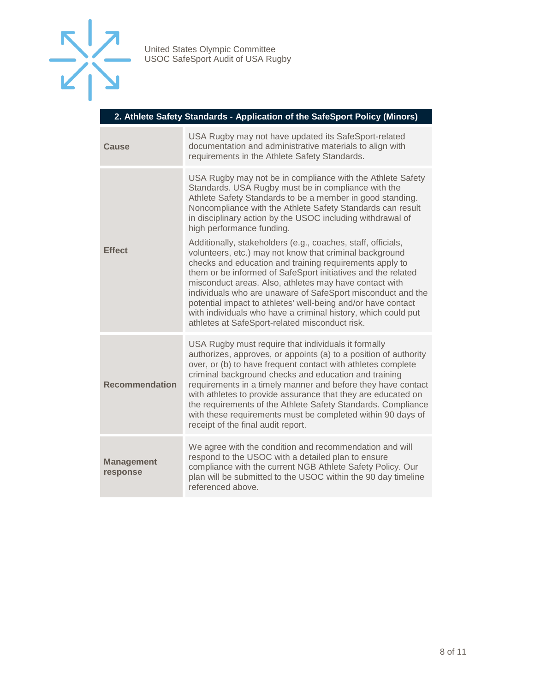

|  | 2. Athlete Safety Standards - Application of the SafeSport Policy (Minors) |  |
|--|----------------------------------------------------------------------------|--|
|  |                                                                            |  |

| Cause                         | USA Rugby may not have updated its SafeSport-related<br>documentation and administrative materials to align with<br>requirements in the Athlete Safety Standards.                                                                                                                                                                                                                                                                                                                                                                                              |
|-------------------------------|----------------------------------------------------------------------------------------------------------------------------------------------------------------------------------------------------------------------------------------------------------------------------------------------------------------------------------------------------------------------------------------------------------------------------------------------------------------------------------------------------------------------------------------------------------------|
| <b>Effect</b>                 | USA Rugby may not be in compliance with the Athlete Safety<br>Standards. USA Rugby must be in compliance with the<br>Athlete Safety Standards to be a member in good standing.<br>Noncompliance with the Athlete Safety Standards can result<br>in disciplinary action by the USOC including withdrawal of<br>high performance funding.                                                                                                                                                                                                                        |
|                               | Additionally, stakeholders (e.g., coaches, staff, officials,<br>volunteers, etc.) may not know that criminal background<br>checks and education and training requirements apply to<br>them or be informed of SafeSport initiatives and the related<br>misconduct areas. Also, athletes may have contact with<br>individuals who are unaware of SafeSport misconduct and the<br>potential impact to athletes' well-being and/or have contact<br>with individuals who have a criminal history, which could put<br>athletes at SafeSport-related misconduct risk. |
| <b>Recommendation</b>         | USA Rugby must require that individuals it formally<br>authorizes, approves, or appoints (a) to a position of authority<br>over, or (b) to have frequent contact with athletes complete<br>criminal background checks and education and training<br>requirements in a timely manner and before they have contact<br>with athletes to provide assurance that they are educated on<br>the requirements of the Athlete Safety Standards. Compliance<br>with these requirements must be completed within 90 days of<br>receipt of the final audit report.          |
| <b>Management</b><br>response | We agree with the condition and recommendation and will<br>respond to the USOC with a detailed plan to ensure<br>compliance with the current NGB Athlete Safety Policy. Our<br>plan will be submitted to the USOC within the 90 day timeline<br>referenced above.                                                                                                                                                                                                                                                                                              |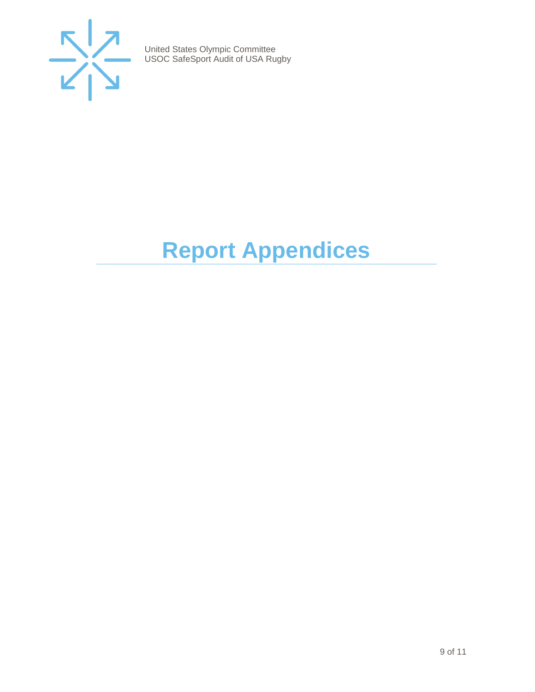

# <span id="page-8-0"></span>**Report Appendices**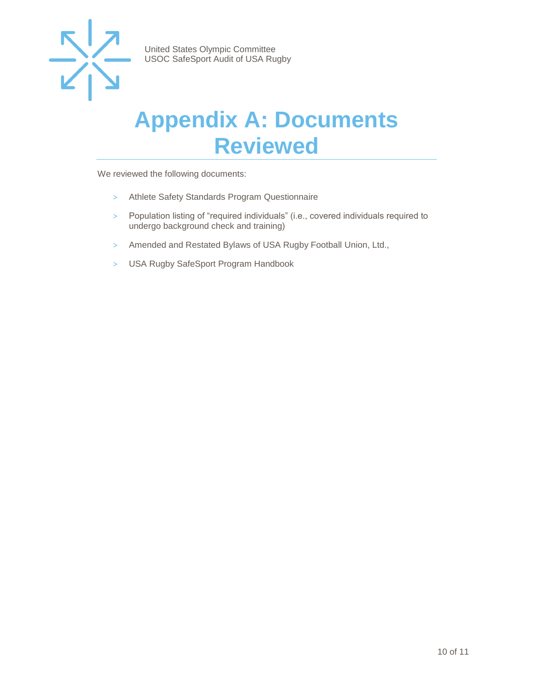

### <span id="page-9-0"></span>**Appendix A: Documents Reviewed**

We reviewed the following documents:

- > Athlete Safety Standards Program Questionnaire
- > Population listing of "required individuals" (i.e., covered individuals required to undergo background check and training)
- > Amended and Restated Bylaws of USA Rugby Football Union, Ltd.,
- > USA Rugby SafeSport Program Handbook